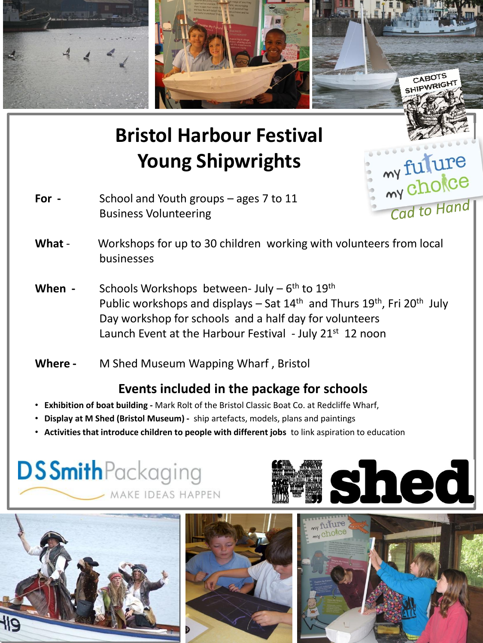

# **Bristol Harbour Festival Young Shipwrights**

- **For** School and Youth groups ages 7 to 11 Business Volunteering
- What Workshops for up to 30 children working with volunteers from local businesses
- When Schools Workshops between- July 6<sup>th</sup> to 19<sup>th</sup> Public workshops and displays – Sat 14<sup>th</sup> and Thurs 19<sup>th</sup>, Fri 20<sup>th</sup> July Day workshop for schools and a half day for volunteers Launch Event at the Harbour Festival - July 21<sup>st</sup> 12 noon
- **Where -** M Shed Museum Wapping Wharf , Bristol

### **Events included in the package for schools**

- **Exhibition of boat building -** Mark Rolt of the Bristol Classic Boat Co. at Redcliffe Wharf,
- • **Display at M Shed (Bristol Museum)** ship artefacts, models, plans and paintings
- **Activities that introduce children to people with different jobs** to link aspiration to education

## **DSSmith**Packaging MAKE IDEAS HAPPEN









my fulure

Cad to Hand